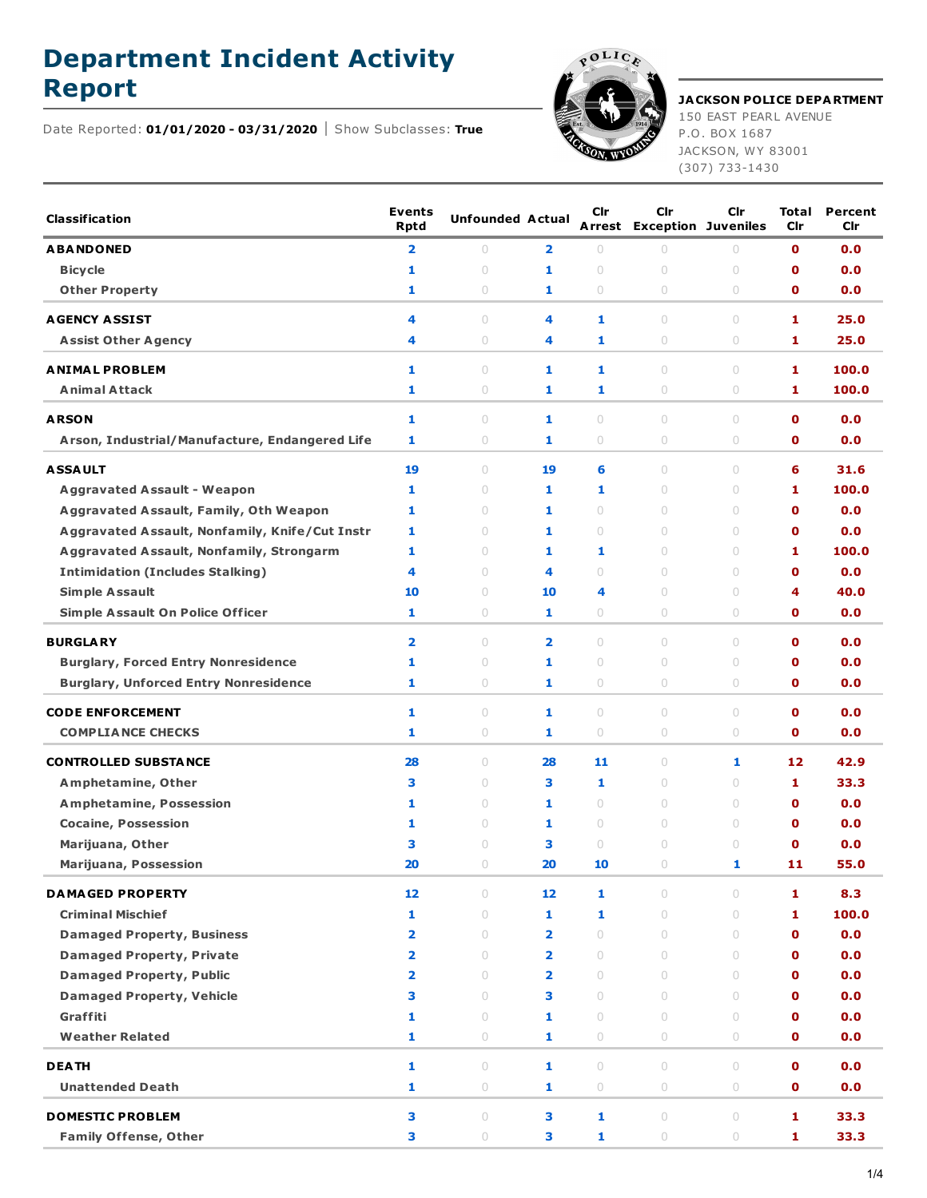## **Department Incident Activity**



## **Report JACKSON POLICE DEPARTMENT**

150 EAST PEARL AVENUE P.O. BOX 1687 JACKSON, WY 83001 (307) 733-1430

Date Reported: **01/01/2020 - 03/31/2020** Show Subclasses: **True**

| <b>Classification</b>                           | <b>Events</b><br><b>Rptd</b> | <b>Unfounded Actual</b>          |                         | Cir                              | Cir<br><b>Arrest Exception Juveniles</b> | Cir                              | Total<br>Cir | Percent<br>Cir |
|-------------------------------------------------|------------------------------|----------------------------------|-------------------------|----------------------------------|------------------------------------------|----------------------------------|--------------|----------------|
| <b>ABANDONED</b>                                | 2                            | 0                                | $\overline{\mathbf{2}}$ | $\circ$                          | $\circ$                                  | 0                                | $\mathbf o$  | 0.0            |
| <b>Bicycle</b>                                  | 1                            | $\bigcirc$                       | 1                       | $\circ$                          | $\circ$                                  | $\cup$                           | O            | 0.0            |
| <b>Other Property</b>                           | 1                            | $\circ$                          | 1                       | $\circ$                          | 0                                        | 0                                | O            | 0.0            |
| <b>AGENCY ASSIST</b>                            | 4                            | $\begin{array}{c} \n\end{array}$ | 4                       | 1                                | 0                                        | $\circ$                          | 1            | 25.0           |
| <b>Assist Other Agency</b>                      | 4                            | $\circ$                          | 4                       | 1                                | 0                                        | $\circ$                          | 1            | 25.0           |
| <b>ANIMAL PROBLEM</b>                           | 1                            | $\circ$                          | 1                       | 1                                | 0                                        | $\circ$                          | 1            | 100.0          |
| <b>Animal Attack</b>                            | 1                            | $\circ$                          | 1                       | 1                                | 0                                        | $\circ$                          | 1.           | 100.0          |
| <b>ARSON</b>                                    | 1                            | $\circ$                          | 1                       | $\circ$                          | $\circ$                                  | $\circ$                          | $\mathbf o$  | 0.0            |
| Arson, Industrial/Manufacture, Endangered Life  | 1                            | $\circ$                          | 1                       | $\circ$                          | 0                                        | $\circ$                          | $\mathbf o$  | 0.0            |
| <b>ASSAULT</b>                                  | 19                           | $\circ$                          | 19                      | 6                                | 0                                        | $\bigcirc$                       | 6            | 31.6           |
| <b>Aggravated Assault - Weapon</b>              | 1                            | $\circ$                          | 1                       | 1                                | 0                                        | $\circ$                          | 1            | 100.0          |
| <b>Aggravated Assault, Family, Oth Weapon</b>   | 1                            | $\circ$                          | 1                       | $\circ$                          | 0                                        | $\circ$                          | O            | 0.0            |
| Aggravated Assault, Nonfamily, Knife/Cut Instr  | 1                            | $\circ$                          | 1                       | $\circ$                          | 0                                        | $\circ$                          | $\mathbf o$  | 0.0            |
| <b>Aggravated Assault, Nonfamily, Strongarm</b> | 1                            | $\begin{array}{c} \n\end{array}$ | 1                       | 1                                | $\cup$                                   | $\circ$                          | 1            | 100.0          |
| <b>Intimidation (Includes Stalking)</b>         | 4                            | $\circ$                          | 4                       | $\begin{array}{c} \n\end{array}$ | 0                                        | $\circ$                          | $\mathbf o$  | 0.0            |
| <b>Simple Assault</b>                           | 10                           | $\circ$                          | 10                      | 4                                | 0                                        | $\circ$                          | 4            | 40.0           |
| <b>Simple Assault On Police Officer</b>         | 1                            | $\circ$                          | 1                       | $\circ$                          | 0                                        | $\circ$                          | $\mathbf 0$  | 0.0            |
|                                                 |                              | $\begin{array}{c} \n\end{array}$ |                         | $\begin{array}{c} \n\end{array}$ | $\cup$                                   | $\circ$                          | $\mathbf o$  |                |
| <b>BURGLARY</b>                                 | 2                            |                                  | $\overline{\mathbf{2}}$ |                                  |                                          |                                  |              | 0.0            |
| <b>Burglary, Forced Entry Nonresidence</b>      | 1                            | $\circ$                          | 1                       | $\circ$                          | 0                                        | $\circ$                          | O            | 0.0            |
| <b>Burglary, Unforced Entry Nonresidence</b>    | 1                            | $\circ$                          | 1                       | $\circ$                          | $\circ$                                  | $\circ$                          | O            | 0.0            |
| <b>CODE ENFORCEMENT</b>                         | 1                            | $\circ$                          | 1                       | $\circ$                          | 0                                        | $\circ$                          | $\mathbf o$  | 0.0            |
| <b>COMPLIANCE CHECKS</b>                        | 1                            | $\circ$                          | 1                       | $\circ$                          | 0                                        | 0                                | 0            | 0.0            |
| <b>CONTROLLED SUBSTANCE</b>                     | 28                           | $\circ$                          | 28                      | 11                               | 0                                        | 1                                | 12           | 42.9           |
| Amphetamine, Other                              | з                            | $\circ$                          | 3                       | 1                                | 0                                        | $\circ$                          | 1            | 33.3           |
| <b>Amphetamine, Possession</b>                  | 1                            | $\circ$                          | 1                       | $\circ$                          | 0                                        | $\circ$                          | 0            | 0.0            |
| <b>Cocaine, Possession</b>                      | 1                            | $\circ$                          | 1                       | $\circ$                          | 0                                        | $\circ$                          | O            | 0.0            |
| Marijuana, Other                                | з                            | $\cup$                           | з                       | $\circ$                          | 0                                        | $\circ$                          | O            | 0.0            |
| <b>Marijuana, Possession</b>                    | 20                           | $\cup$                           | 20                      | 10                               | $\circ$                                  | 1                                | 11           | 55.0           |
| <b>DAMAGED PROPERTY</b>                         | 12                           | $\circ$                          | 12                      | 1                                | $\circ$                                  | $\circ$                          | 1.           | 8.3            |
| <b>Criminal Mischief</b>                        | 1                            | $\begin{array}{c} \n\end{array}$ | 1                       | $\mathbf{1}$                     | $\cup$                                   | $\begin{array}{c} \n\end{array}$ | 1            | 100.0          |
| <b>Damaged Property, Business</b>               | 2                            | $\circ$                          | $\overline{\mathbf{2}}$ | $\circ$                          | $\begin{array}{c} \n\end{array}$         | $\begin{array}{c} \n\end{array}$ | $\mathbf 0$  | 0.0            |
| <b>Damaged Property, Private</b>                | $\overline{2}$               | $\begin{array}{c} \n\end{array}$ | $\overline{\mathbf{2}}$ | $\cup$                           | $\begin{array}{c} \n\end{array}$         | $\begin{array}{c} \n\end{array}$ | $\mathbf o$  | 0.0            |
| <b>Damaged Property, Public</b>                 | $\overline{2}$               | $\circ$                          | $\overline{\mathbf{2}}$ | $\circ$                          | $\circ$                                  | $\circ$                          | $\mathbf 0$  | 0.0            |
| <b>Damaged Property, Vehicle</b>                | 3                            | $\begin{array}{c} \n\end{array}$ | 3                       | $\cup$                           | $\begin{array}{c} \n\end{array}$         | $\begin{array}{c} \n\end{array}$ | O            | 0.0            |
| Graffiti                                        | 1                            | $\begin{array}{c} \n\end{array}$ | 1                       | $\begin{array}{c} \n\end{array}$ | $\begin{array}{c} \n\end{array}$         | $\begin{array}{c} \n\end{array}$ | $\mathbf 0$  | 0.0            |
| <b>Weather Related</b>                          | 1                            | $\circ$                          | 1                       | 0                                | $\circ$                                  | $\circ$                          | $\mathbf o$  | 0.0            |
| <b>DEATH</b>                                    | 1                            | $\circ$                          | 1                       | $\circ$                          | $\circ$                                  | $\circ$                          | $\mathbf 0$  | 0.0            |
| <b>Unattended Death</b>                         | 1                            | $\circ$                          | 1                       | 0                                | $\circ$                                  | $\circ$                          | 0            | 0.0            |
| <b>DOMESTIC PROBLEM</b>                         | з                            | $\begin{array}{c} \n\end{array}$ | 3                       | 1                                | $\circ$                                  | $\cup$                           | 1            | 33.3           |
| <b>Family Offense, Other</b>                    | з                            | $\bigcirc$                       | 3                       | 1                                | $\circ$                                  | $\circ$                          | 1            | 33.3           |
|                                                 |                              |                                  |                         |                                  |                                          |                                  |              |                |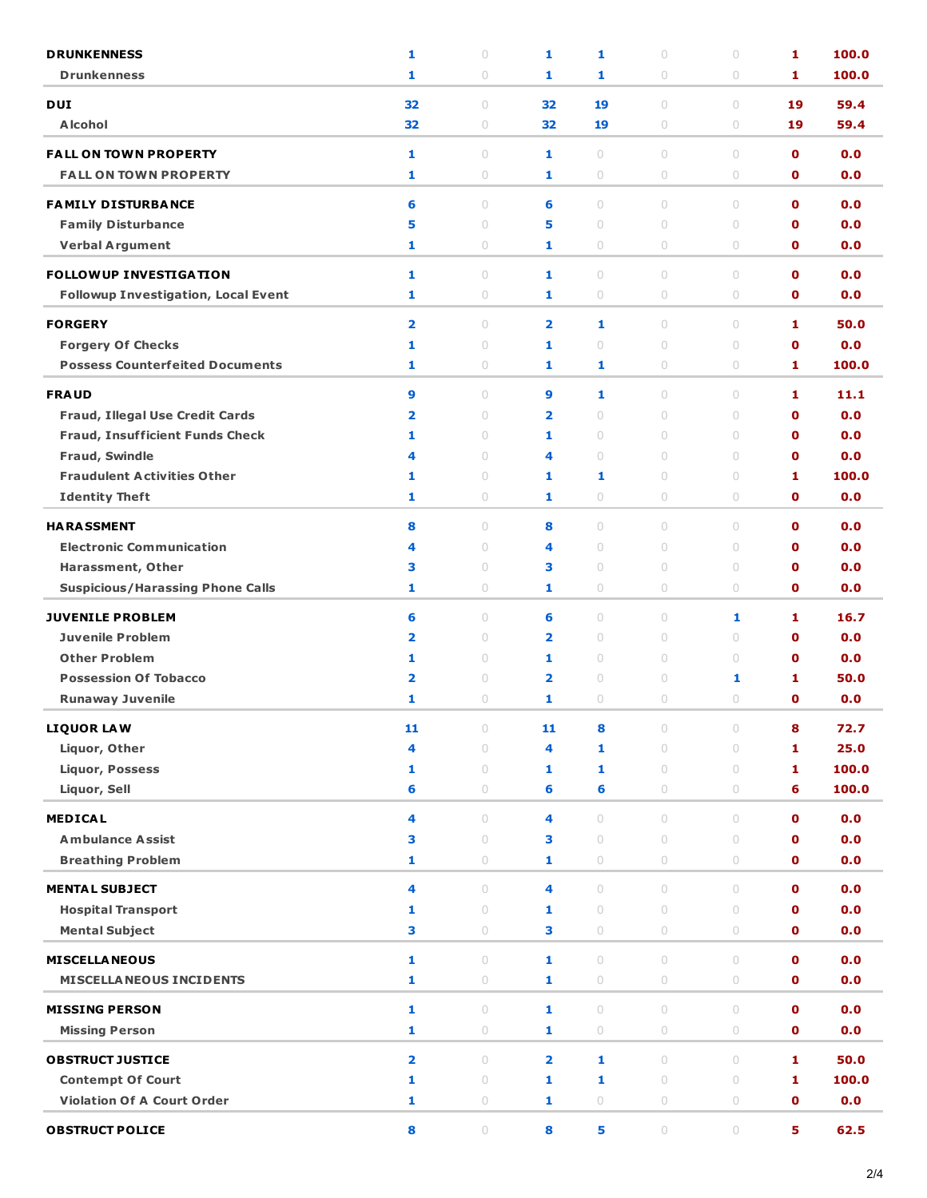| <b>DRUNKENNESS</b>                                     | 1                       | $\circ$                          | 1                       | 1                                           | $\cup$              | $\circ$                          | 1                          | 100.0      |
|--------------------------------------------------------|-------------------------|----------------------------------|-------------------------|---------------------------------------------|---------------------|----------------------------------|----------------------------|------------|
| <b>Drunkenness</b>                                     | 1                       | $\circ$                          | 1                       | 1                                           | 0                   | $\circ$                          | 1                          | 100.0      |
| <b>DUI</b>                                             | 32                      | $\circ$                          | 32                      | 19                                          | $\circ$             | $\circ$                          | 19                         | 59.4       |
| <b>Alcohol</b>                                         | 32                      | $\circ$                          | 32                      | 19                                          | 0                   | $\circ$                          | 19                         | 59.4       |
| <b>FALL ON TOWN PROPERTY</b>                           | 1                       | $\circ$                          | 1                       | $\begin{array}{c} \n\end{array}$            | $\cup$              | $\circ$                          | $\mathbf o$                | 0.0        |
| <b>FALL ON TOWN PROPERTY</b>                           | 1                       | $\circ$                          | 1                       | $\circ$                                     | 0                   | $\circ$                          | $\mathbf 0$                | 0.0        |
|                                                        |                         |                                  |                         |                                             |                     |                                  |                            |            |
| <b>FAMILY DISTURBANCE</b><br><b>Family Disturbance</b> | 6<br>5                  | $\circ$<br>$\circ$               | 6<br>5                  | $\circ$<br>$\begin{array}{c} \n\end{array}$ | $\circ$<br>$\circ$  | $\circ$<br>$\circ$               | $\mathbf o$<br>$\mathbf o$ | 0.0<br>0.0 |
| <b>Verbal Argument</b>                                 | 1                       | $\bigcirc$                       | 1                       | $\bigcirc$                                  | $\circ$             | $\circ$                          | 0                          | 0.0        |
|                                                        |                         |                                  |                         |                                             |                     |                                  |                            |            |
| <b>FOLLOWUP INVESTIGATION</b>                          | 1                       | $\circ$                          | 1                       | $\circ$                                     | $\circ$             | $\circ$                          | $\mathbf 0$                | 0.0        |
| <b>Followup Investigation, Local Event</b>             | 1                       | $\bigcirc$                       | 1                       | $\bigcirc$                                  | $\circ$             | $\bigcirc$                       | $\mathbf 0$                | 0.0        |
| <b>FORGERY</b>                                         | $\overline{\mathbf{2}}$ | $\circ$                          | $\overline{\mathbf{2}}$ | 1                                           | $\circ$             | $\cup$                           | 1                          | 50.0       |
| <b>Forgery Of Checks</b>                               | 1                       | $\circ$                          | 1                       | $\cup$                                      | $\circ$             | $\circ$                          | $\mathbf o$                | 0.0        |
| <b>Possess Counterfeited Documents</b>                 | 1                       | $\circ$                          | 1                       | 1                                           | 0                   | $\circ$                          | 1                          | 100.0      |
| <b>FRAUD</b>                                           | 9                       | $\circ$                          | 9                       | 1                                           | $\circ$             | $\circ$                          | 1                          | 11.1       |
| Fraud, Illegal Use Credit Cards                        | 2                       | $\circ$                          | $\overline{\mathbf{2}}$ | $\begin{array}{c} \n\end{array}$            | 0                   | $\begin{array}{c} \n\end{array}$ | $\mathbf 0$                | 0.0        |
| <b>Fraud, Insufficient Funds Check</b>                 | 1                       | $\circ$                          | 1                       | $\cup$                                      | $\cup$              | $\begin{array}{c} \n\end{array}$ | O                          | 0.0        |
| <b>Fraud, Swindle</b>                                  | 4                       | $\begin{array}{c} \n\end{array}$ | 4                       | $\cup$                                      | 0                   | $\begin{array}{c} \n\end{array}$ | $\mathbf o$                | 0.0        |
| <b>Fraudulent Activities Other</b>                     | 1                       | $\circ$                          | 1                       | 1                                           | $\circ$             | $\circ$                          | 1                          | 100.0      |
| <b>Identity Theft</b>                                  | 1                       | 0                                | 1                       | $\circ$                                     | 0                   | $\circ$                          | 0                          | 0.0        |
| <b>HARASSMENT</b>                                      | 8                       | $\circ$                          | 8                       | $\cup$                                      | $\cup$              | $\cup$                           | $\mathbf o$                | 0.0        |
| <b>Electronic Communication</b>                        | 4                       | $\circ$                          | 4                       | $\circ$                                     | 0                   | $\cup$                           | $\mathbf o$                | 0.0        |
| Harassment, Other                                      | з                       | $\circ$                          | 3                       | $\circ$                                     | $\circ$             | $\circ$                          | $\mathbf o$                | 0.0        |
| <b>Suspicious/Harassing Phone Calls</b>                | 1                       | 0                                | 1                       | $\circ$                                     | 0                   | $\circ$                          | 0                          | 0.0        |
| <b>JUVENILE PROBLEM</b>                                | 6                       | $\circ$                          | 6                       | $\circ$                                     | $\circ$             | 1                                | 1                          | 16.7       |
| <b>Juvenile Problem</b>                                | $\overline{\mathbf{2}}$ | $\circ$                          | $\overline{\mathbf{2}}$ | $\circ$                                     | 0                   | $\circ$                          | $\mathbf 0$                | 0.0        |
| <b>Other Problem</b>                                   | 1                       | $\circ$                          | 1                       | $\circ$                                     | $\circ$             | $\circ$                          | $\mathbf o$                | 0.0        |
| <b>Possession Of Tobacco</b>                           | 2                       | $\circ$                          | $\overline{\mathbf{2}}$ | $\circ$                                     | 0                   | 1                                | 1                          | 50.0       |
| <b>Runaway Juvenile</b>                                | 1                       | $\circ$                          | 1                       | 0                                           | $\cup$              | $\circ$                          | $\mathbf 0$                | 0.0        |
| <b>LIQUOR LAW</b>                                      | 11                      | $\bigcirc$                       | 11                      | 8                                           | 0                   | $\bigcirc$                       | 8                          | 72.7       |
| Liquor, Other                                          | 4                       | $\circ$                          | 4                       | 1                                           | $\circ$             | $\circ$                          | 1                          | 25.0       |
| <b>Liquor, Possess</b>                                 | 1                       | $\circ$                          | 1                       | 1                                           | $\circ$             | $\circ$                          | 1                          | 100.0      |
| Liquor, Sell                                           | 6                       | $\circ$                          | 6                       | 6                                           | 0                   | $\circ$                          | 6                          | 100.0      |
| <b>MEDICAL</b>                                         | 4                       | $\cup$                           | 4                       | $\circ$                                     | $\cup$              | $\cup$                           | $\mathbf 0$                | 0.0        |
| <b>Ambulance Assist</b>                                | з                       | $\circ$                          | 3                       | $\circ$                                     | $\circ$             | $\circ$                          | $\mathbf o$                | 0.0        |
| <b>Breathing Problem</b>                               | 1                       | $\circ$                          | 1                       | $\circ$                                     | 0                   | $\circ$                          | 0                          | 0.0        |
| <b>MENTAL SUBJECT</b>                                  | 4                       | $\bigcirc$                       | 4                       | $\cup$                                      | $\cup$              | $\bigcirc$                       | $\mathbf 0$                | 0.0        |
| <b>Hospital Transport</b>                              | 1                       | $\cup$                           | 1                       | $\circ$                                     | $\cup$              | $\circ$                          | $\mathbf 0$                | 0.0        |
| <b>Mental Subject</b>                                  | 3                       | $\circ$                          | 3                       | $\circ$                                     | $\circ$             | $\circ$                          | $\mathbf{0}$               | 0.0        |
| <b>MISCELLANEOUS</b>                                   | 1                       | $\circ$                          | $\mathbf{1}$            | $\circ$                                     | $\circ$             | $\circ$                          | $\mathbf 0$                | 0.0        |
| <b>MISCELLA NEOUS INCIDENTS</b>                        | 1                       | $\bigcirc$                       | 1                       | $\circ$                                     | $\circ$             | $\bigcirc$                       | 0                          | 0.0        |
| <b>MISSING PERSON</b>                                  | 1                       | $\circ$                          | $\mathbf{1}$            | $\circ$                                     | $\circ$             | $\circ$                          | $\mathbf 0$                | 0.0        |
| <b>Missing Person</b>                                  | 1                       | $\bigcirc$                       | 1                       | $\bigcirc$                                  | $\circ$             | $\bigcirc$                       | $\mathbf 0$                | 0.0        |
| <b>OBSTRUCT JUSTICE</b>                                | $\overline{\mathbf{2}}$ | $\circ$                          | $\overline{\mathbf{2}}$ | 1                                           | $\circ$             | $\circ$                          | 1                          | 50.0       |
| <b>Contempt Of Court</b>                               | 1                       | $\circ$                          | $\mathbf{1}$            | 1                                           | $\circ$             | $\circ$                          | 1                          | 100.0      |
| <b>Violation Of A Court Order</b>                      | 1                       | $\bigcirc$                       | 1                       | $\circ$                                     | 0                   | $\bigcirc$                       | $\mathbf 0$                | 0.0        |
|                                                        |                         |                                  |                         |                                             |                     |                                  |                            |            |
| <b>OBSTRUCT POLICE</b>                                 | 8                       | $\circ$                          | 8                       | 5                                           | $\circlearrowright$ | $\bigcirc$                       | 5                          | 62.5       |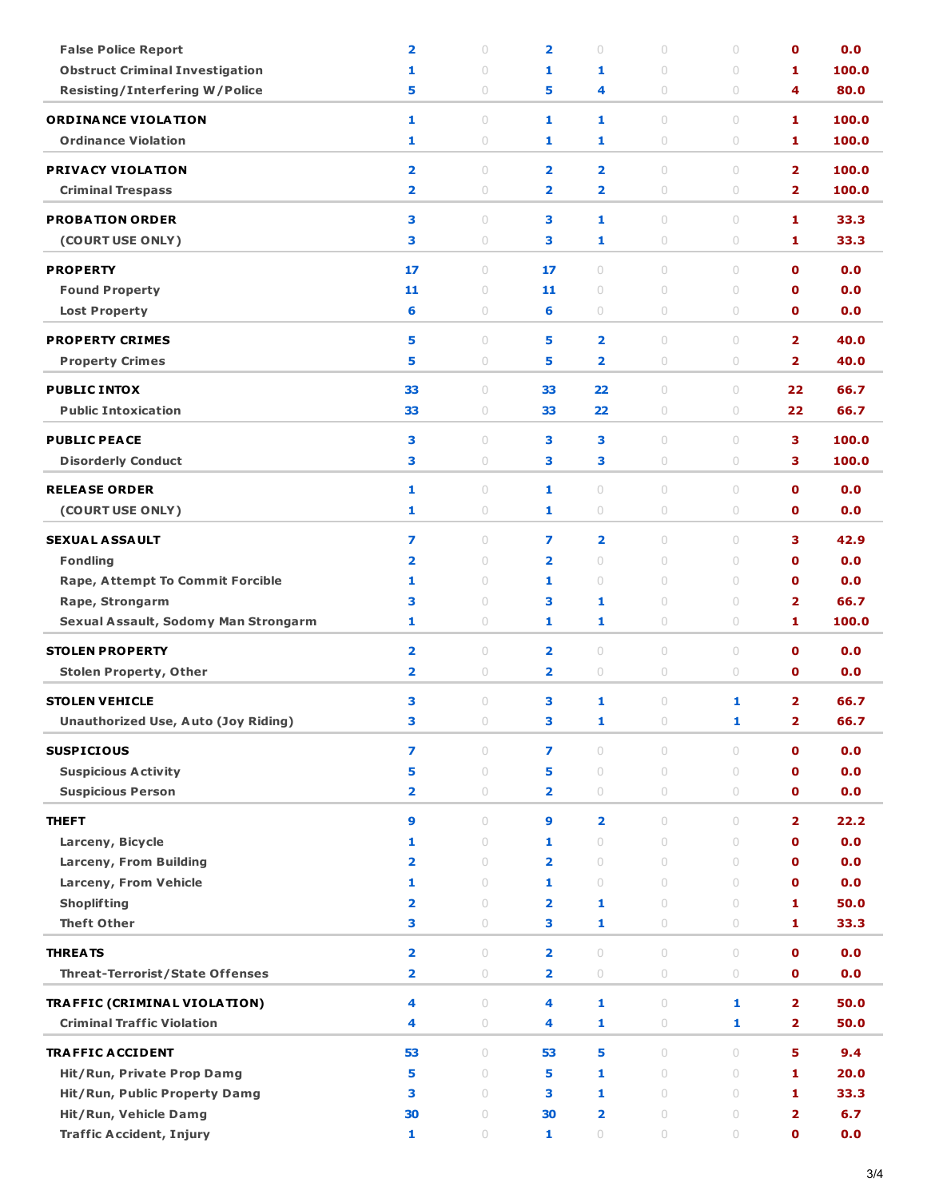| <b>False Police Report</b>                               | $\overline{\mathbf{2}}$ | $\circ$                          | $\overline{\mathbf{2}}$ | $\bigcirc$                       | $\circ$             | $\circ$             | $\mathbf o$             | 0.0   |
|----------------------------------------------------------|-------------------------|----------------------------------|-------------------------|----------------------------------|---------------------|---------------------|-------------------------|-------|
| <b>Obstruct Criminal Investigation</b>                   | 1                       | $\circ$                          | 1                       | 1                                | $\circ$             | $\circ$             | 1                       | 100.0 |
| <b>Resisting/Interfering W/Police</b>                    | 5                       | $\circ$                          | 5                       | 4                                | $\circ$             | $\circ$             | 4                       | 80.0  |
|                                                          |                         |                                  |                         |                                  |                     |                     |                         |       |
| <b>ORDINANCE VIOLATION</b><br><b>Ordinance Violation</b> | 1                       | $\circ$                          | 1                       | 1                                | $\circ$             | $\circ$             | 1                       | 100.0 |
|                                                          | 1                       | $\circ$                          | 1                       | 1                                | $\circ$             | $\circ$             | 1                       | 100.0 |
| <b>PRIVACY VIOLATION</b>                                 | $\overline{\mathbf{2}}$ | $\begin{array}{c} \n\end{array}$ | $\overline{\mathbf{2}}$ | $\overline{\mathbf{2}}$          | 0                   | $\bigcirc$          | $\overline{2}$          | 100.0 |
| <b>Criminal Trespass</b>                                 | $\overline{\mathbf{2}}$ | $\circ$                          | $\overline{\mathbf{2}}$ | $\overline{\mathbf{2}}$          | $\circ$             | $\circ$             | $\overline{2}$          | 100.0 |
| <b>PROBATION ORDER</b>                                   | 3                       | $\circ$                          | 3                       | 1                                | $\circ$             | $\circ$             | 1                       | 33.3  |
| (COURT USE ONLY)                                         | 3                       | $\circ$                          | з                       | 1                                | $\circ$             | $\circ$             | 1                       | 33.3  |
|                                                          |                         |                                  |                         |                                  |                     |                     |                         |       |
| <b>PROPERTY</b>                                          | 17                      | $\circ$                          | 17                      | $\begin{array}{c} \n\end{array}$ | $\circ$             | $\bigcirc$          | $\mathbf 0$             | 0.0   |
| <b>Found Property</b>                                    | 11                      | $\circ$                          | 11                      | $\circ$                          | $\circ$             | $\circ$             | $\mathbf o$             | 0.0   |
| <b>Lost Property</b>                                     | 6                       | $\circ$                          | 6                       | $\circ$                          | 0                   | $\circ$             | $\mathbf 0$             | 0.0   |
| <b>PROPERTY CRIMES</b>                                   | 5                       | $\begin{array}{c} \n\end{array}$ | 5                       | $\overline{\mathbf{2}}$          | $\circ$             | $\circ$             | $\overline{2}$          | 40.0  |
| <b>Property Crimes</b>                                   | 5                       | $\circ$                          | 5                       | $\overline{\mathbf{2}}$          | 0                   | $\circ$             | $\overline{2}$          | 40.0  |
|                                                          |                         |                                  |                         |                                  |                     |                     |                         | 66.7  |
| <b>PUBLIC INTOX</b><br><b>Public Intoxication</b>        | 33<br>33                | $\circ$<br>$\circ$               | 33<br>33                | 22<br>22                         | $\circ$<br>$\circ$  | $\circ$<br>$\circ$  | 22<br>22                | 66.7  |
|                                                          |                         |                                  |                         |                                  |                     |                     |                         |       |
| <b>PUBLIC PEACE</b>                                      | 3                       | $\begin{array}{c} \n\end{array}$ | 3                       | 3                                | $\circ$             | $\circ$             | 3                       | 100.0 |
| <b>Disorderly Conduct</b>                                | 3                       | $\circ$                          | 3                       | з                                | 0                   | $\circ$             | 3                       | 100.0 |
| <b>RELEASE ORDER</b>                                     | 1                       | $\circ$                          | 1                       | $\circ$                          | $\circ$             | $\circ$             | $\mathbf 0$             | 0.0   |
| (COURT USE ONLY)                                         | 1                       | $\circ$                          | 1                       | $\circ$                          | $\circ$             | $\circ$             | $\mathbf 0$             | 0.0   |
|                                                          |                         |                                  |                         |                                  |                     |                     |                         |       |
| <b>SEXUAL ASSAULT</b>                                    | 7                       | $\begin{array}{c} \n\end{array}$ | 7                       | $\overline{\mathbf{2}}$          | $\circ$             | $\circ$             | 3                       | 42.9  |
| <b>Fondling</b>                                          | $\overline{\mathbf{2}}$ | $\circ$                          | $\overline{\mathbf{2}}$ | $\circ$                          | $\circ$             | $\circ$             | $\mathbf 0$             | 0.0   |
| <b>Rape, Attempt To Commit Forcible</b>                  | 1                       | $\circ$                          | 1                       | $\circ$                          | $\circ$             | $\circ$             | $\mathbf 0$             | 0.0   |
| Rape, Strongarm                                          | з                       | $\circ$                          | з                       | 1                                | $\circ$             | $\circ$             | $\overline{2}$          | 66.7  |
| Sexual Assault, Sodomy Man Strongarm                     | 1                       | $\circ$                          | 1                       | 1                                | $\circ$             | $\circ$             | 1                       | 100.0 |
| <b>STOLEN PROPERTY</b>                                   | $\overline{\mathbf{2}}$ | $\circ$                          | $\overline{\mathbf{2}}$ | $\circ$                          | 0                   | $\circ$             | $\mathbf 0$             | 0.0   |
| <b>Stolen Property, Other</b>                            | $\overline{\mathbf{2}}$ | $\circ$                          | $\overline{\mathbf{2}}$ | $\circ$                          | $\circ$             | $\circ$             | $\mathbf 0$             | 0.0   |
|                                                          |                         |                                  |                         |                                  |                     |                     |                         |       |
| <b>STOLEN VEHICLE</b>                                    | 3                       | $\circ$                          | 3                       | 1                                | $\circ$             | 1                   | $\overline{2}$          | 66.7  |
| <b>Unauthorized Use, Auto (Joy Riding)</b>               | 3                       | 0                                | 3                       | 1                                | 0                   | 1                   | 2                       | 66.7  |
| <b>SUSPICIOUS</b>                                        | 7                       | $\begin{array}{c} \n\end{array}$ | $\overline{ }$          | $\cup$                           | $\circ$             | $\circ$             | $\mathbf{0}$            | 0.0   |
| <b>Suspicious Activity</b>                               | 5                       | $\circ$                          | 5                       | $\circ$                          | $\circ$             | $\circ$             | $\mathbf 0$             | 0.0   |
| <b>Suspicious Person</b>                                 | $\overline{\mathbf{2}}$ | $\circ$                          | 2                       | $\circ$                          | $\circ$             | $\circ$             | $\mathbf 0$             | 0.0   |
| <b>THEFT</b>                                             | 9                       | $\begin{array}{c} \n\end{array}$ | 9                       | $\overline{\mathbf{2}}$          | $\cup$              | $\circ$             | $\overline{2}$          | 22.2  |
| Larceny, Bicycle                                         | 1                       | $\circ$                          | 1                       | $\circ$                          | $\circ$             | $\circ$             | $\mathbf 0$             | 0.0   |
| <b>Larceny, From Building</b>                            | $\overline{\mathbf{2}}$ | $\circ$                          | $\overline{\mathbf{2}}$ | $\circ$                          | $\circ$             | $\circ$             | $\mathbf 0$             | 0.0   |
| Larceny, From Vehicle                                    | 1                       | $\circ$                          | 1                       | $\circ$                          | $\circ$             | $\circ$             | $\mathbf 0$             | 0.0   |
| <b>Shoplifting</b>                                       | $\overline{\mathbf{2}}$ | $\circ$                          | $\overline{\mathbf{2}}$ | 1                                | $\circ$             | $\circ$             | 1                       | 50.0  |
| <b>Theft Other</b>                                       | 3                       | $\circ$                          | 3                       | 1                                | $\circ$             | $\circ$             | 1                       | 33.3  |
|                                                          |                         |                                  |                         |                                  |                     |                     |                         |       |
| <b>THREATS</b>                                           | $\overline{\mathbf{2}}$ | $\circ$                          | $\overline{\mathbf{2}}$ | $\circ$                          | $\circ$             | $\circ$             | $\mathbf 0$             | 0.0   |
| <b>Threat-Terrorist/State Offenses</b>                   | 2                       | $\bigcirc$                       | $\overline{\mathbf{2}}$ | $\circ$                          | 0                   | $\circlearrowright$ | $\mathbf 0$             | 0.0   |
| TRAFFIC (CRIMINAL VIOLATION)                             | 4                       | $\circ$                          | 4                       | 1                                | $\circ$             | 1                   | $\overline{\mathbf{2}}$ | 50.0  |
| <b>Criminal Traffic Violation</b>                        | 4                       | $\circ$                          | 4                       | 1                                | 0                   | 1                   | $\mathbf{2}$            | 50.0  |
|                                                          |                         |                                  |                         |                                  |                     |                     |                         |       |
| <b>TRAFFIC ACCIDENT</b>                                  | 53                      | $\circ$                          | 53                      | 5                                | $\circ$             | $\circ$             | 5                       | 9.4   |
| Hit/Run, Private Prop Damg                               | 5                       | $\circ$                          | 5                       | 1                                | 0                   | $\circ$             | 1                       | 20.0  |
| Hit/Run, Public Property Damg                            | 3                       | $\circ$                          | 3                       | 1                                | $\circ$             | $\circ$             | 1                       | 33.3  |
| Hit/Run, Vehicle Damg                                    | 30                      | $\circ$                          | 30                      | $\overline{\mathbf{2}}$          | $\circ$             | $\circ$             | $\overline{2}$          | 6.7   |
| <b>Traffic Accident, Injury</b>                          | $\mathbf{1}$            | $\bigcirc$                       | $\mathbf{1}$            | $\bigcirc$                       | $\circlearrowright$ | $\circlearrowright$ | 0                       | 0.0   |